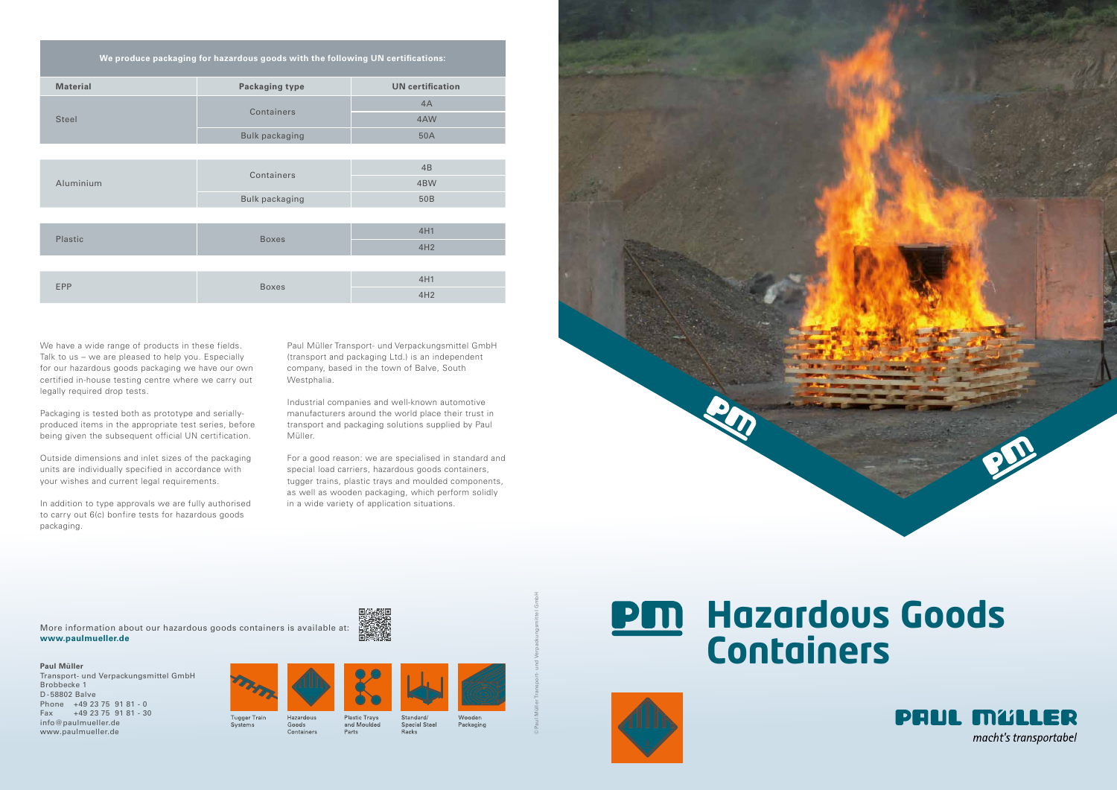| We produce packaging for hazardous goods with the following UN certifications: |                       |                         |
|--------------------------------------------------------------------------------|-----------------------|-------------------------|
| <b>Material</b>                                                                | <b>Packaging type</b> | <b>UN</b> certification |
| <b>Steel</b>                                                                   | Containers            | 4A                      |
|                                                                                |                       | 4AW                     |
|                                                                                | <b>Bulk packaging</b> | 50A                     |
|                                                                                |                       |                         |
| Aluminium                                                                      | Containers            | 4B                      |
|                                                                                |                       | 4BW                     |
|                                                                                | <b>Bulk packaging</b> | 50B                     |
|                                                                                |                       |                         |
| Plastic                                                                        | <b>Boxes</b>          | 4H1                     |
|                                                                                |                       | 4H2                     |
|                                                                                |                       |                         |
| <b>EPP</b>                                                                     | <b>Boxes</b>          | 4H1                     |
|                                                                                |                       | 4H2                     |

# **PM Hazardous Goods Containers**





More information about our hazardous goods containers is available at: **www.paulmueller.de**

> Tugger Train Goods Containers Parts

Systems





#### **Paul Müller**

Transport- und Verpackungsmittel GmbH Brobbecke 1 D -58802 Balve Phone +49 23 75 91 81 - 0 Fax +49 23 75 91 81 - 30 info@paulmueller.de www.paulmueller.de









Standard/ Special Steel Racks

医学家科学



Packaging

© Paul Müller Transport- und Verpackungsmittel GmbH

Paul Müller Transport- und Verpackungsmittel GmbH (transport and packaging Ltd.) is an independent company, based in the town of Balve, South Westphalia.

Industrial companies and well-known automotive manufacturers around the world place their trust in transport and packaging solutions supplied by Paul Müller.

For a good reason: we are specialised in standard and special load carriers, hazardous goods containers, tugger trains, plastic trays and moulded components, as well as wooden packaging, which perform solidly in a wide variety of application situations.

We have a wide range of products in these fields. Talk to us – we are pleased to help you. Especially for our hazardous goods packaging we have our own certified in-house testing centre where we carry out legally required drop tests.

Packaging is tested both as prototype and seriallyproduced items in the appropriate test series, before being given the subsequent official UN certification.

Outside dimensions and inlet sizes of the packaging units are individually specified in accordance with your wishes and current legal requirements.

In addition to type approvals we are fully authorised to carry out 6(c) bonfire tests for hazardous goods packaging.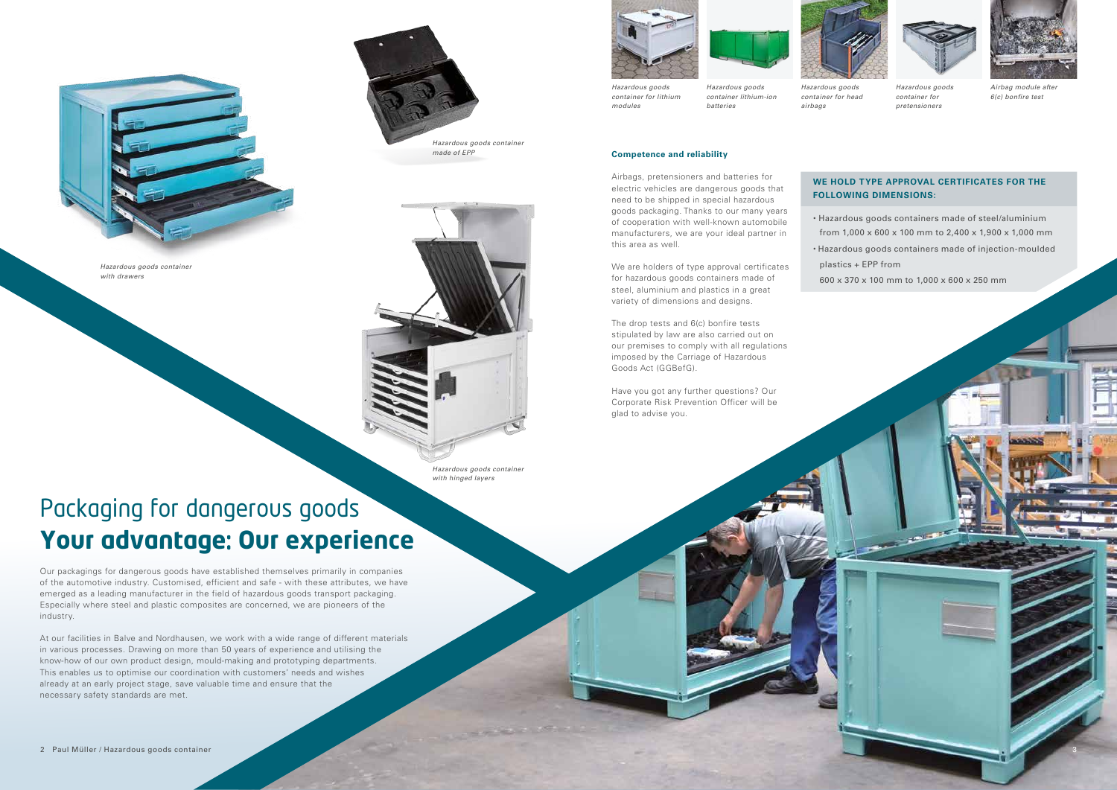

#### **Competence and reliability**

Airbags, pretensioners and batteries for electric vehicles are dangerous goods that need to be shipped in special hazardous goods packaging. Thanks to our many years of cooperation with well-known automobile manufacturers, we are your ideal partner in this area as well.

We are holders of type approval certificates for hazardous goods containers made of steel, aluminium and plastics in a great variety of dimensions and designs.

The drop tests and 6(c) bonfire tests stipulated by law are also carried out on our premises to comply with all regulations imposed by the Carriage of Hazardous Goods Act (GGBefG).

Have you got any further questions? Our Corporate Risk Prevention Officer will be glad to advise you.

Our packagings for dangerous goods have established themselves primarily in companies of the automotive industry. Customised, efficient and safe - with these attributes, we have emerged as a leading manufacturer in the field of hazardous goods transport packaging. Especially where steel and plastic composites are concerned, we are pioneers of the industry.

At our facilities in Balve and Nordhausen, we work with a wide range of different materials in various processes. Drawing on more than 50 years of experience and utilising the know-how of our own product design, mould-making and prototyping departments. This enables us to optimise our coordination with customers' needs and wishes already at an early project stage, save valuable time and ensure that the necessary safety standards are met.





### Packaging for dangerous goods **Your advantage**: **Our experience**

*Hazardous goods container lithium-ion batteries*

*Hazardous goods container for head airbags*



*Hazardous goods container for pretensioners*



*Airbag module after 6(c) bonfire test*

*Hazardous goods container for lithium modules*



*Hazardous goods container with drawers*

![](_page_1_Picture_2.jpeg)

3

### **WE HOLD TYPE APPROVAL CERTIFICATES FOR THE FOLLOWING DIMENSIONS:**

- Hazardous goods containers made of steel/aluminium from 1,000 x 600 x 100 mm to 2,400 x 1,900 x 1,000 mm • Hazardous goods containers made of injection-moulded
- 
- 
- plastics + EPP from
- 600 x 370 x 100 mm to 1,000 x 600 x 250 mm

*Hazardous goods container with hinged layers*

*Hazardous goods container made of EPP*

![](_page_1_Picture_4.jpeg)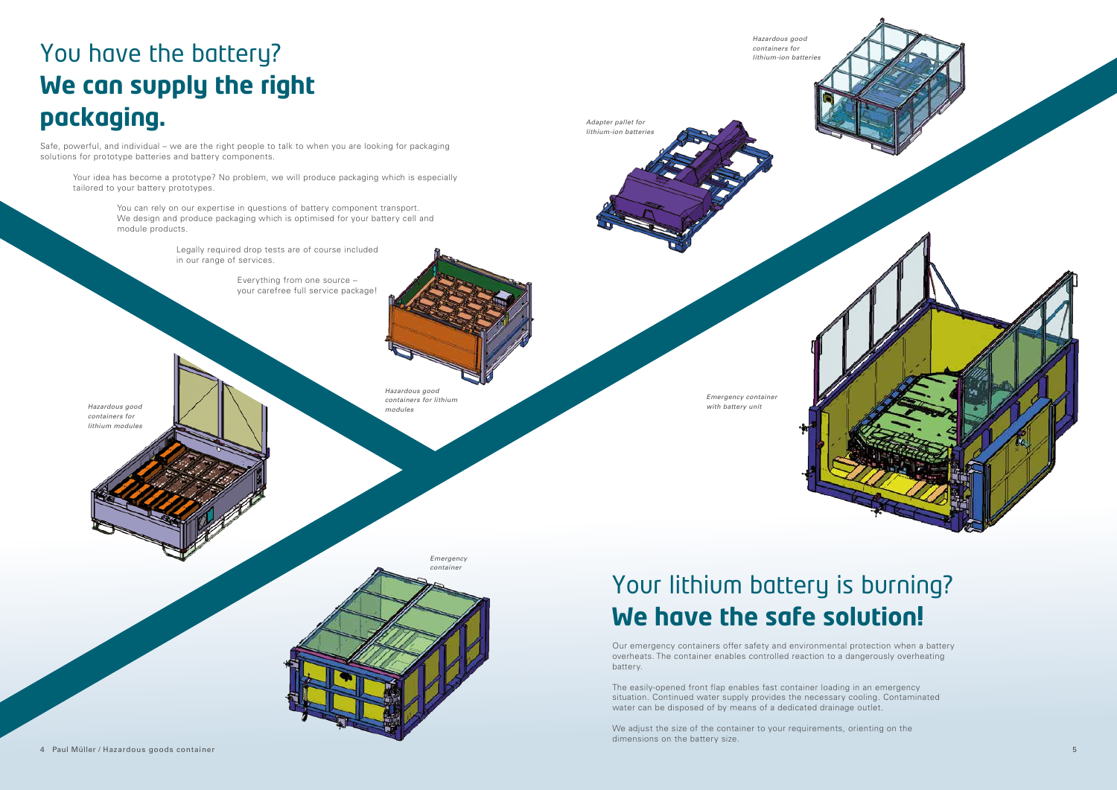![](_page_2_Picture_14.jpeg)

*Hazardous good containers for lithium-ion batteries*

Safe, powerful, and individual – we are the right people to talk to when you are looking for packaging solutions for prototype batteries and battery components.

Your idea has become a prototype? No problem, we will produce packaging which is especially tailored to your battery prototypes.

> You can rely on our expertise in questions of battery component transport. We design and produce packaging which is optimised for your battery cell and module products.

> > Legally required drop tests are of course included in our range of services.

> > > We adjust the size of the container to your requirements, orienting on the dimensions on the battery size.

 Everything from one source – your carefree full service package!

**Hazardous good and the second conduct of the second conduct of the second conducts of the second conducts of the second conducts of the second conducts of the second conducts of the second conducts of the second conducts** *Hazardous good containers for lithium modules*

> Our emergency containers offer safety and environmental protection when a battery overheats. The container enables controlled reaction to a dangerously overheating battery.

The easily-opened front flap enables fast container loading in an emergency situation. Continued water supply provides the necessary cooling. Contaminated water can be disposed of by means of a dedicated drainage outlet.

## You have the battery? **We can supply the right packaging.**

*Emergency container* 

*containers for lithium modules* *Adapter pallet for lithium-ion batteries*

*Emergency container*

## Your lithium battery is burning? **We have the safe solution.**